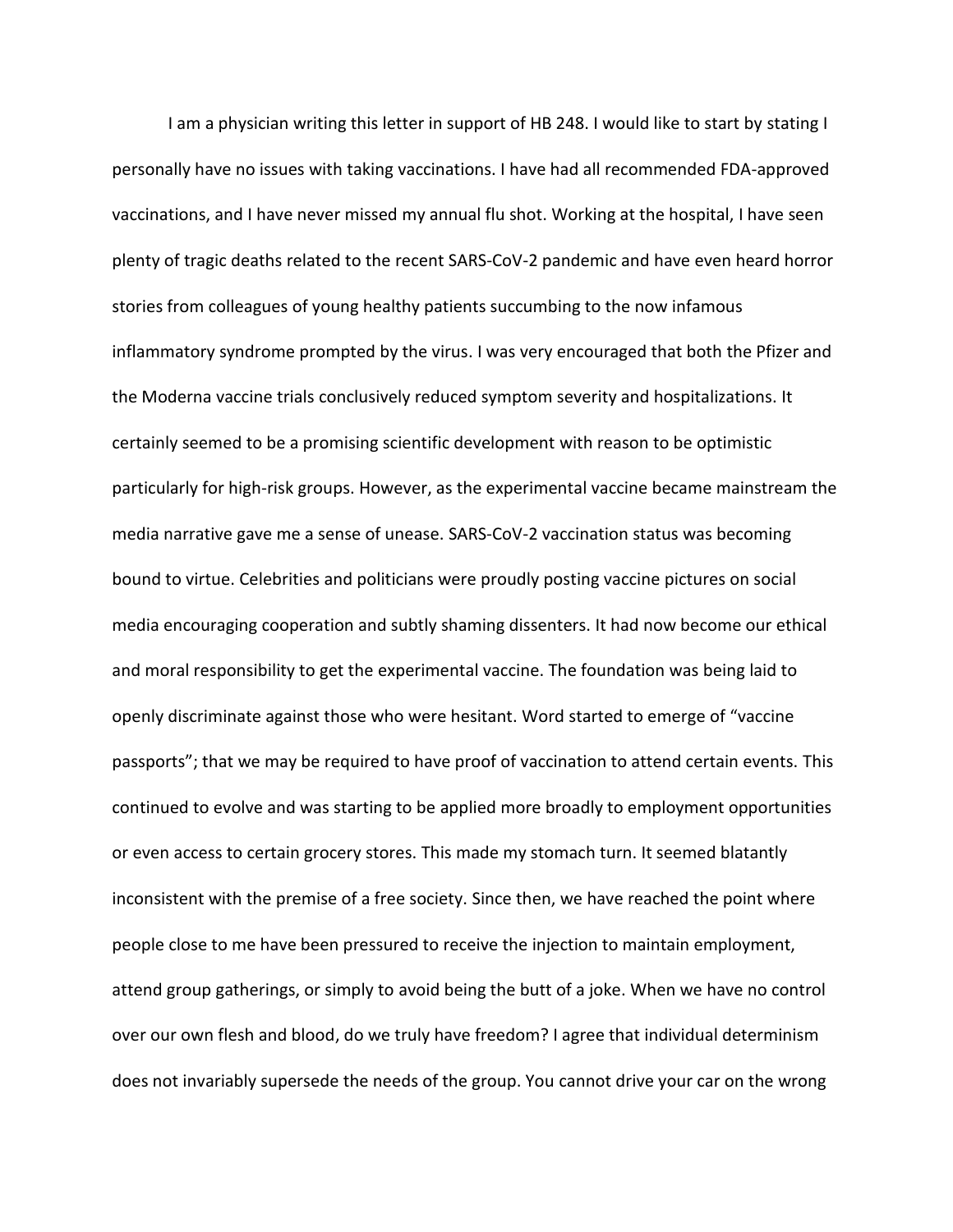I am a physician writing this letter in support of HB 248. I would like to start by stating I personally have no issues with taking vaccinations. I have had all recommended FDA-approved vaccinations, and I have never missed my annual flu shot. Working at the hospital, I have seen plenty of tragic deaths related to the recent SARS-CoV-2 pandemic and have even heard horror stories from colleagues of young healthy patients succumbing to the now infamous inflammatory syndrome prompted by the virus. I was very encouraged that both the Pfizer and the Moderna vaccine trials conclusively reduced symptom severity and hospitalizations. It certainly seemed to be a promising scientific development with reason to be optimistic particularly for high-risk groups. However, as the experimental vaccine became mainstream the media narrative gave me a sense of unease. SARS-CoV-2 vaccination status was becoming bound to virtue. Celebrities and politicians were proudly posting vaccine pictures on social media encouraging cooperation and subtly shaming dissenters. It had now become our ethical and moral responsibility to get the experimental vaccine. The foundation was being laid to openly discriminate against those who were hesitant. Word started to emerge of "vaccine passports"; that we may be required to have proof of vaccination to attend certain events. This continued to evolve and was starting to be applied more broadly to employment opportunities or even access to certain grocery stores. This made my stomach turn. It seemed blatantly inconsistent with the premise of a free society. Since then, we have reached the point where people close to me have been pressured to receive the injection to maintain employment, attend group gatherings, or simply to avoid being the butt of a joke. When we have no control over our own flesh and blood, do we truly have freedom? I agree that individual determinism does not invariably supersede the needs of the group. You cannot drive your car on the wrong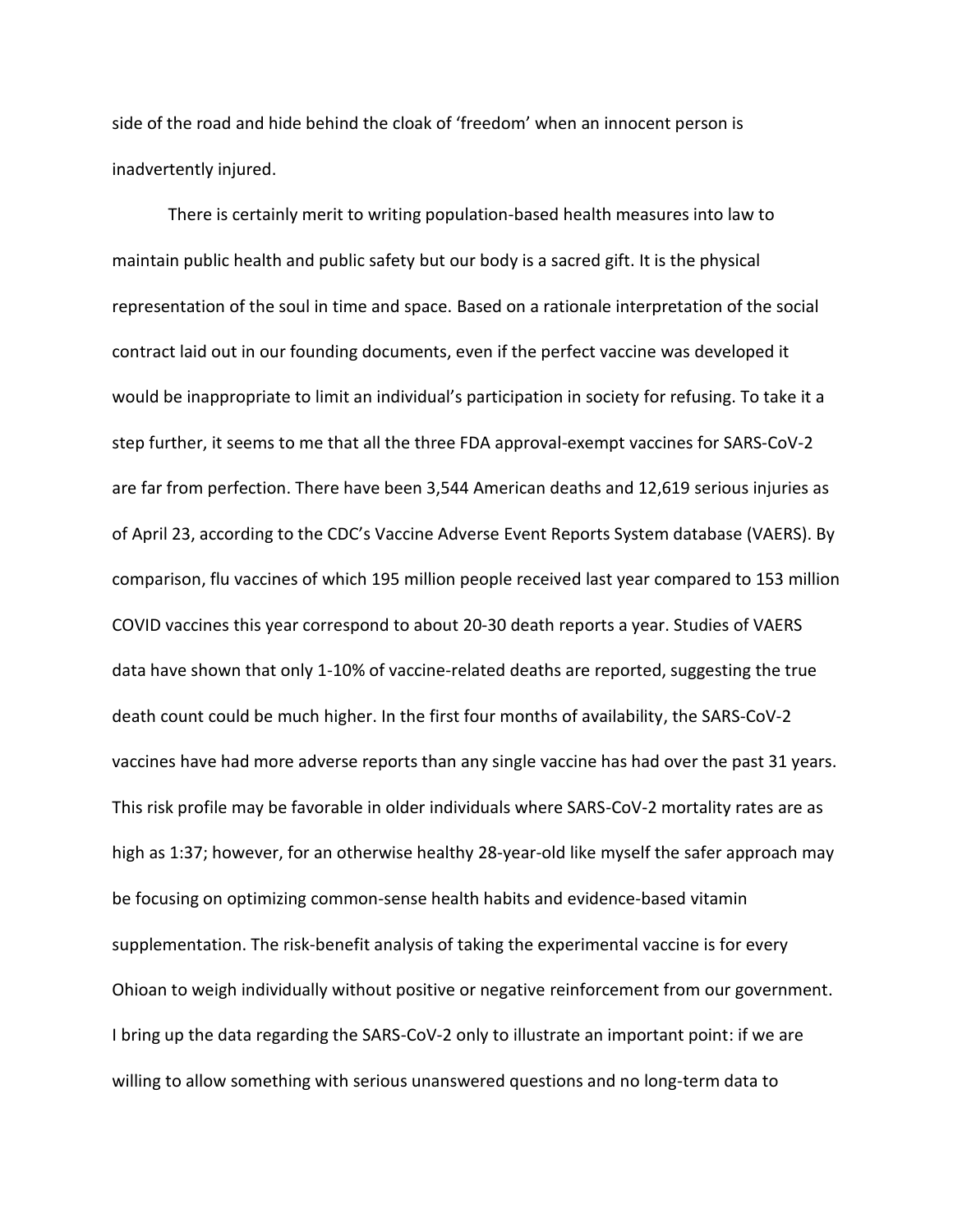side of the road and hide behind the cloak of 'freedom' when an innocent person is inadvertently injured.

There is certainly merit to writing population-based health measures into law to maintain public health and public safety but our body is a sacred gift. It is the physical representation of the soul in time and space. Based on a rationale interpretation of the social contract laid out in our founding documents, even if the perfect vaccine was developed it would be inappropriate to limit an individual's participation in society for refusing. To take it a step further, it seems to me that all the three FDA approval-exempt vaccines for SARS-CoV-2 are far from perfection. There have been 3,544 American deaths and 12,619 serious injuries as of April 23, according to the CDC's Vaccine Adverse Event Reports System database (VAERS). By comparison, flu vaccines of which 195 million people received last year compared to 153 million COVID vaccines this year correspond to about 20-30 death reports a year. Studies of VAERS data have shown that only 1-10% of vaccine-related deaths are reported, suggesting the true death count could be much higher. In the first four months of availability, the SARS-CoV-2 vaccines have had more adverse reports than any single vaccine has had over the past 31 years. This risk profile may be favorable in older individuals where SARS-CoV-2 mortality rates are as high as 1:37; however, for an otherwise healthy 28-year-old like myself the safer approach may be focusing on optimizing common-sense health habits and evidence-based vitamin supplementation. The risk-benefit analysis of taking the experimental vaccine is for every Ohioan to weigh individually without positive or negative reinforcement from our government. I bring up the data regarding the SARS-CoV-2 only to illustrate an important point: if we are willing to allow something with serious unanswered questions and no long-term data to